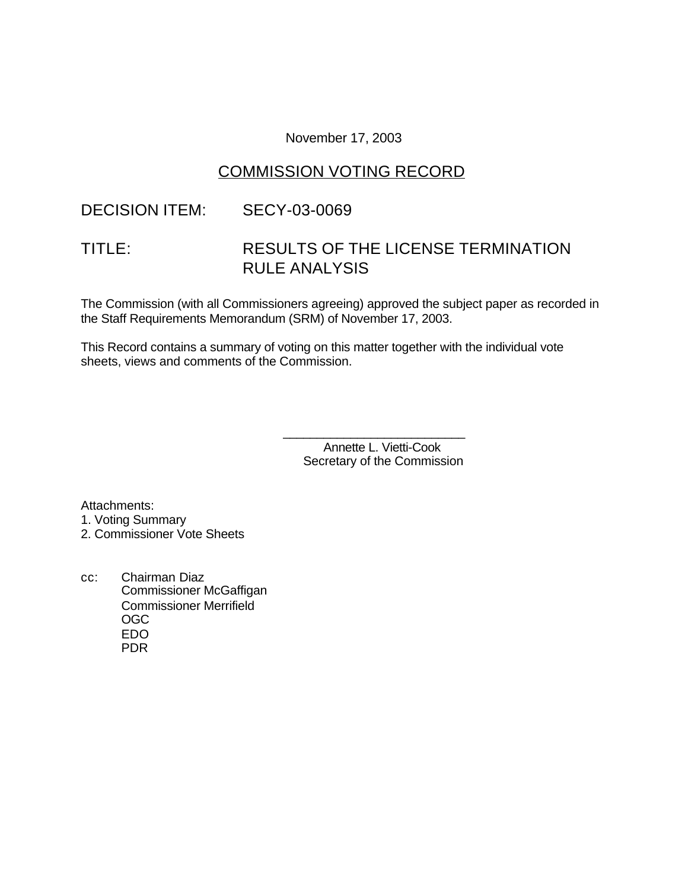November 17, 2003

# COMMISSION VOTING RECORD

## DECISION ITEM: SECY-03-0069

# TITLE: RESULTS OF THE LICENSE TERMINATION RULE ANALYSIS

The Commission (with all Commissioners agreeing) approved the subject paper as recorded in the Staff Requirements Memorandum (SRM) of November 17, 2003.

This Record contains a summary of voting on this matter together with the individual vote sheets, views and comments of the Commission.

> Annette L. Vietti-Cook Secretary of the Commission

\_\_\_\_\_\_\_\_\_\_\_\_\_\_\_\_\_\_\_\_\_\_\_\_\_\_\_

Attachments:

- 1. Voting Summary
- 2. Commissioner Vote Sheets
- cc: Chairman Diaz Commissioner McGaffigan Commissioner Merrifield OGC EDO PDR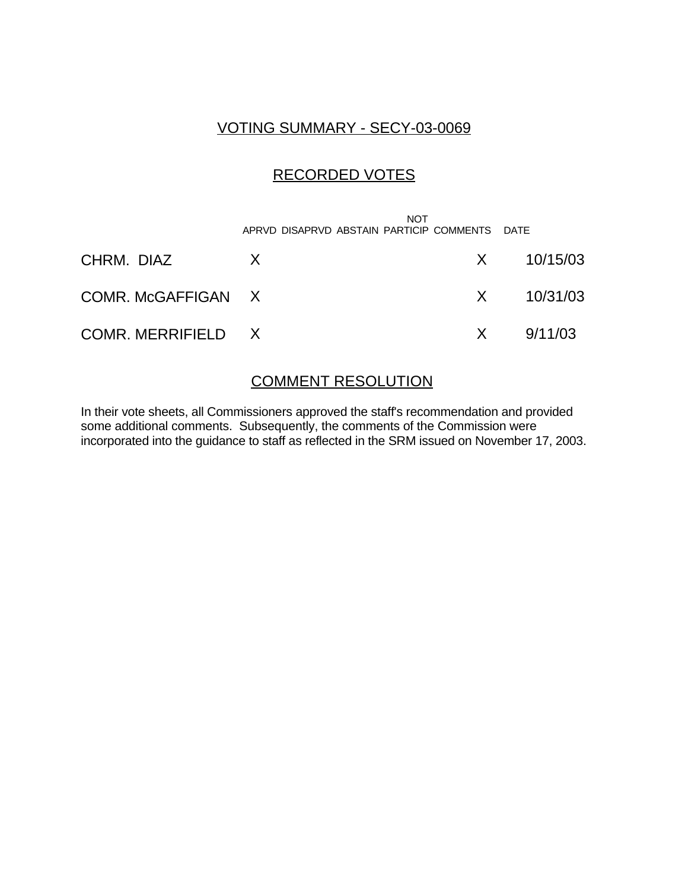## VOTING SUMMARY - SECY-03-0069

## RECORDED VOTES

|                    | <b>NOT</b><br>APRVD DISAPRVD ABSTAIN PARTICIP COMMENTS |          | DATF           |
|--------------------|--------------------------------------------------------|----------|----------------|
| CHRM. DIAZ         | X.                                                     |          | $X = 10/15/03$ |
| COMR. McGAFFIGAN X |                                                        |          | $X = 10/31/03$ |
| COMR. MERRIFIELD X |                                                        | $X \sim$ | 9/11/03        |

## COMMENT RESOLUTION

In their vote sheets, all Commissioners approved the staff's recommendation and provided some additional comments. Subsequently, the comments of the Commission were incorporated into the guidance to staff as reflected in the SRM issued on November 17, 2003.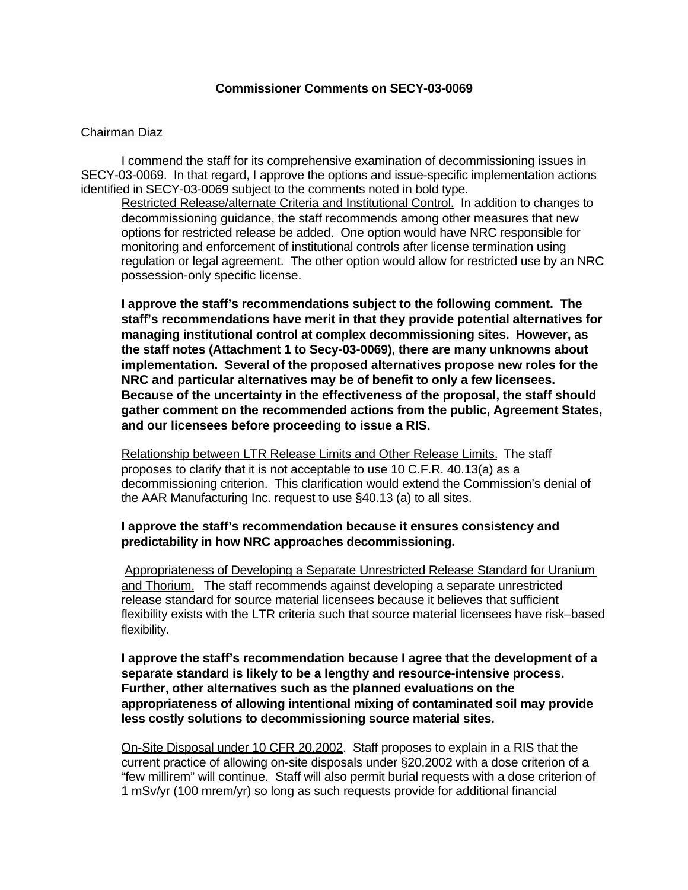#### **Commissioner Comments on SECY-03-0069**

#### Chairman Diaz

I commend the staff for its comprehensive examination of decommissioning issues in SECY-03-0069. In that regard, I approve the options and issue-specific implementation actions identified in SECY-03-0069 subject to the comments noted in bold type.

Restricted Release/alternate Criteria and Institutional Control. In addition to changes to decommissioning guidance, the staff recommends among other measures that new options for restricted release be added. One option would have NRC responsible for monitoring and enforcement of institutional controls after license termination using regulation or legal agreement. The other option would allow for restricted use by an NRC possession-only specific license.

**I approve the staff's recommendations subject to the following comment. The staff's recommendations have merit in that they provide potential alternatives for managing institutional control at complex decommissioning sites. However, as the staff notes (Attachment 1 to Secy-03-0069), there are many unknowns about implementation. Several of the proposed alternatives propose new roles for the NRC and particular alternatives may be of benefit to only a few licensees. Because of the uncertainty in the effectiveness of the proposal, the staff should gather comment on the recommended actions from the public, Agreement States, and our licensees before proceeding to issue a RIS.**

Relationship between LTR Release Limits and Other Release Limits. The staff proposes to clarify that it is not acceptable to use 10 C.F.R. 40.13(a) as a decommissioning criterion. This clarification would extend the Commission's denial of the AAR Manufacturing Inc. request to use §40.13 (a) to all sites.

#### **I approve the staff's recommendation because it ensures consistency and predictability in how NRC approaches decommissioning.**

Appropriateness of Developing a Separate Unrestricted Release Standard for Uranium and Thorium. The staff recommends against developing a separate unrestricted release standard for source material licensees because it believes that sufficient flexibility exists with the LTR criteria such that source material licensees have risk–based flexibility.

**I approve the staff's recommendation because I agree that the development of a separate standard is likely to be a lengthy and resource-intensive process. Further, other alternatives such as the planned evaluations on the appropriateness of allowing intentional mixing of contaminated soil may provide less costly solutions to decommissioning source material sites.** 

On-Site Disposal under 10 CFR 20.2002. Staff proposes to explain in a RIS that the current practice of allowing on-site disposals under §20.2002 with a dose criterion of a "few millirem" will continue. Staff will also permit burial requests with a dose criterion of 1 mSv/yr (100 mrem/yr) so long as such requests provide for additional financial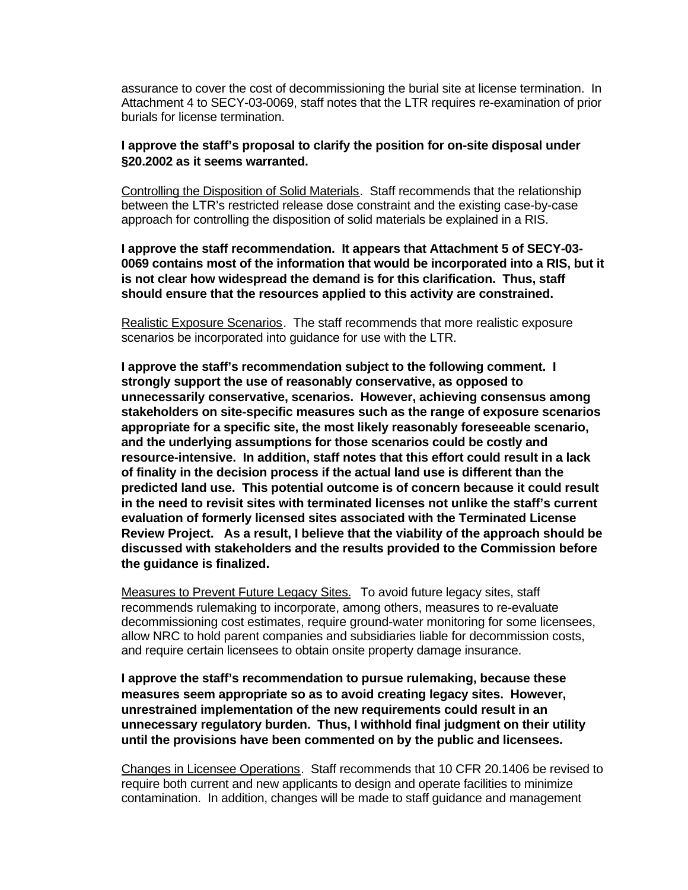assurance to cover the cost of decommissioning the burial site at license termination. In Attachment 4 to SECY-03-0069, staff notes that the LTR requires re-examination of prior burials for license termination.

#### **I approve the staff's proposal to clarify the position for on-site disposal under §20.2002 as it seems warranted.**

Controlling the Disposition of Solid Materials. Staff recommends that the relationship between the LTR's restricted release dose constraint and the existing case-by-case approach for controlling the disposition of solid materials be explained in a RIS.

**I approve the staff recommendation. It appears that Attachment 5 of SECY-03- 0069 contains most of the information that would be incorporated into a RIS, but it is not clear how widespread the demand is for this clarification. Thus, staff should ensure that the resources applied to this activity are constrained.** 

Realistic Exposure Scenarios. The staff recommends that more realistic exposure scenarios be incorporated into guidance for use with the LTR.

**I approve the staff's recommendation subject to the following comment. I strongly support the use of reasonably conservative, as opposed to unnecessarily conservative, scenarios. However, achieving consensus among stakeholders on site-specific measures such as the range of exposure scenarios appropriate for a specific site, the most likely reasonably foreseeable scenario, and the underlying assumptions for those scenarios could be costly and resource-intensive. In addition, staff notes that this effort could result in a lack of finality in the decision process if the actual land use is different than the predicted land use. This potential outcome is of concern because it could result in the need to revisit sites with terminated licenses not unlike the staff's current evaluation of formerly licensed sites associated with the Terminated License Review Project. As a result, I believe that the viability of the approach should be discussed with stakeholders and the results provided to the Commission before the guidance is finalized.** 

Measures to Prevent Future Legacy Sites. To avoid future legacy sites, staff recommends rulemaking to incorporate, among others, measures to re-evaluate decommissioning cost estimates, require ground-water monitoring for some licensees, allow NRC to hold parent companies and subsidiaries liable for decommission costs, and require certain licensees to obtain onsite property damage insurance.

**I approve the staff's recommendation to pursue rulemaking, because these measures seem appropriate so as to avoid creating legacy sites. However, unrestrained implementation of the new requirements could result in an unnecessary regulatory burden. Thus, I withhold final judgment on their utility until the provisions have been commented on by the public and licensees.**

Changes in Licensee Operations. Staff recommends that 10 CFR 20.1406 be revised to require both current and new applicants to design and operate facilities to minimize contamination. In addition, changes will be made to staff guidance and management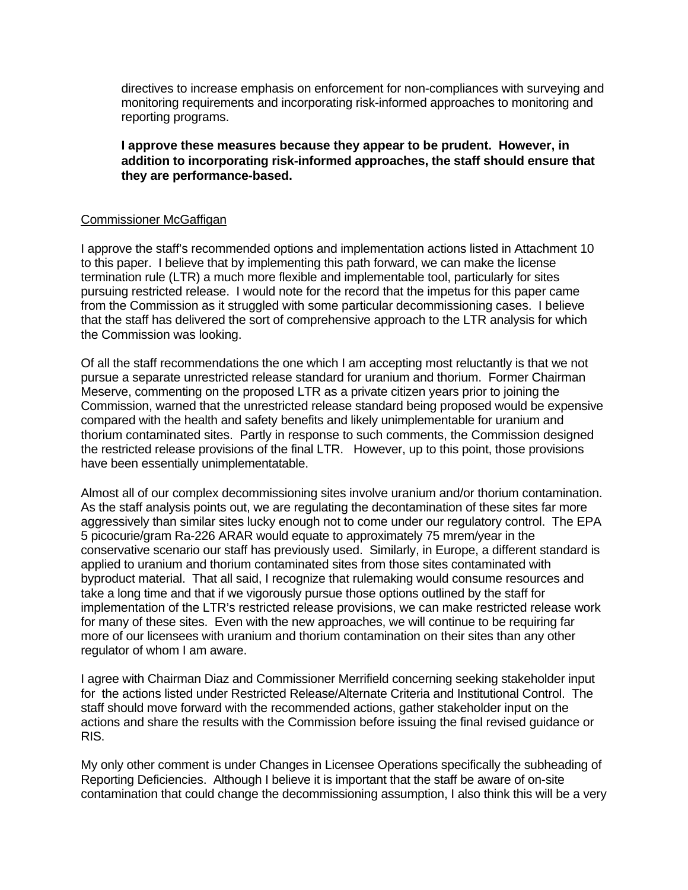directives to increase emphasis on enforcement for non-compliances with surveying and monitoring requirements and incorporating risk-informed approaches to monitoring and reporting programs.

**I approve these measures because they appear to be prudent. However, in addition to incorporating risk-informed approaches, the staff should ensure that they are performance-based.**

#### Commissioner McGaffigan

I approve the staff's recommended options and implementation actions listed in Attachment 10 to this paper. I believe that by implementing this path forward, we can make the license termination rule (LTR) a much more flexible and implementable tool, particularly for sites pursuing restricted release. I would note for the record that the impetus for this paper came from the Commission as it struggled with some particular decommissioning cases. I believe that the staff has delivered the sort of comprehensive approach to the LTR analysis for which the Commission was looking.

Of all the staff recommendations the one which I am accepting most reluctantly is that we not pursue a separate unrestricted release standard for uranium and thorium. Former Chairman Meserve, commenting on the proposed LTR as a private citizen years prior to joining the Commission, warned that the unrestricted release standard being proposed would be expensive compared with the health and safety benefits and likely unimplementable for uranium and thorium contaminated sites. Partly in response to such comments, the Commission designed the restricted release provisions of the final LTR. However, up to this point, those provisions have been essentially unimplementatable.

Almost all of our complex decommissioning sites involve uranium and/or thorium contamination. As the staff analysis points out, we are regulating the decontamination of these sites far more aggressively than similar sites lucky enough not to come under our regulatory control. The EPA 5 picocurie/gram Ra-226 ARAR would equate to approximately 75 mrem/year in the conservative scenario our staff has previously used. Similarly, in Europe, a different standard is applied to uranium and thorium contaminated sites from those sites contaminated with byproduct material. That all said, I recognize that rulemaking would consume resources and take a long time and that if we vigorously pursue those options outlined by the staff for implementation of the LTR's restricted release provisions, we can make restricted release work for many of these sites. Even with the new approaches, we will continue to be requiring far more of our licensees with uranium and thorium contamination on their sites than any other regulator of whom I am aware.

I agree with Chairman Diaz and Commissioner Merrifield concerning seeking stakeholder input for the actions listed under Restricted Release/Alternate Criteria and Institutional Control. The staff should move forward with the recommended actions, gather stakeholder input on the actions and share the results with the Commission before issuing the final revised guidance or RIS.

My only other comment is under Changes in Licensee Operations specifically the subheading of Reporting Deficiencies. Although I believe it is important that the staff be aware of on-site contamination that could change the decommissioning assumption, I also think this will be a very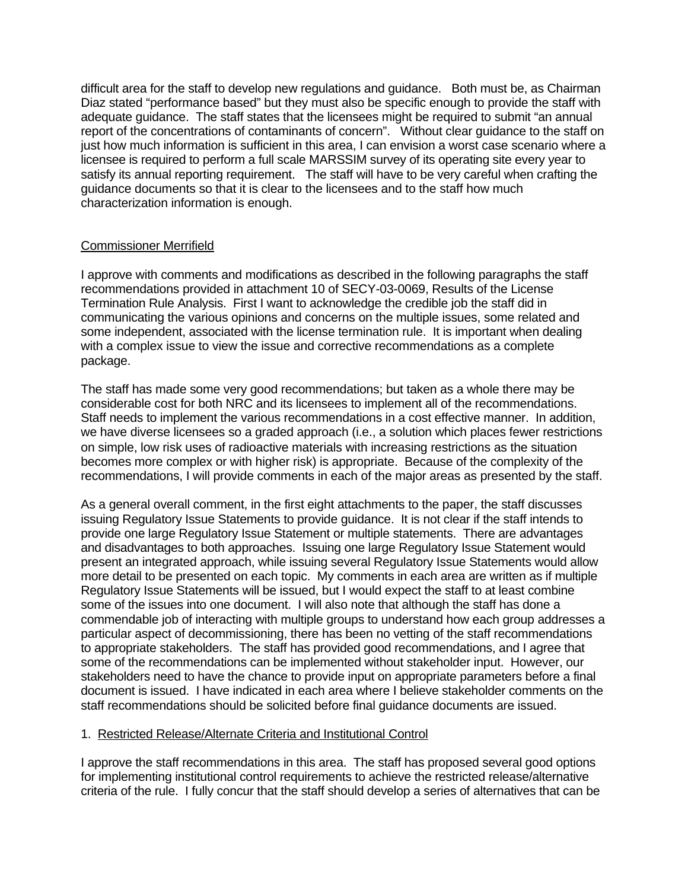difficult area for the staff to develop new regulations and guidance. Both must be, as Chairman Diaz stated "performance based" but they must also be specific enough to provide the staff with adequate guidance. The staff states that the licensees might be required to submit "an annual report of the concentrations of contaminants of concern". Without clear guidance to the staff on just how much information is sufficient in this area, I can envision a worst case scenario where a licensee is required to perform a full scale MARSSIM survey of its operating site every year to satisfy its annual reporting requirement. The staff will have to be very careful when crafting the guidance documents so that it is clear to the licensees and to the staff how much characterization information is enough.

#### Commissioner Merrifield

I approve with comments and modifications as described in the following paragraphs the staff recommendations provided in attachment 10 of SECY-03-0069, Results of the License Termination Rule Analysis. First I want to acknowledge the credible job the staff did in communicating the various opinions and concerns on the multiple issues, some related and some independent, associated with the license termination rule. It is important when dealing with a complex issue to view the issue and corrective recommendations as a complete package.

The staff has made some very good recommendations; but taken as a whole there may be considerable cost for both NRC and its licensees to implement all of the recommendations. Staff needs to implement the various recommendations in a cost effective manner. In addition, we have diverse licensees so a graded approach (i.e., a solution which places fewer restrictions on simple, low risk uses of radioactive materials with increasing restrictions as the situation becomes more complex or with higher risk) is appropriate. Because of the complexity of the recommendations, I will provide comments in each of the major areas as presented by the staff.

As a general overall comment, in the first eight attachments to the paper, the staff discusses issuing Regulatory Issue Statements to provide guidance. It is not clear if the staff intends to provide one large Regulatory Issue Statement or multiple statements. There are advantages and disadvantages to both approaches. Issuing one large Regulatory Issue Statement would present an integrated approach, while issuing several Regulatory Issue Statements would allow more detail to be presented on each topic. My comments in each area are written as if multiple Regulatory Issue Statements will be issued, but I would expect the staff to at least combine some of the issues into one document. I will also note that although the staff has done a commendable job of interacting with multiple groups to understand how each group addresses a particular aspect of decommissioning, there has been no vetting of the staff recommendations to appropriate stakeholders. The staff has provided good recommendations, and I agree that some of the recommendations can be implemented without stakeholder input. However, our stakeholders need to have the chance to provide input on appropriate parameters before a final document is issued. I have indicated in each area where I believe stakeholder comments on the staff recommendations should be solicited before final guidance documents are issued.

#### 1. Restricted Release/Alternate Criteria and Institutional Control

I approve the staff recommendations in this area. The staff has proposed several good options for implementing institutional control requirements to achieve the restricted release/alternative criteria of the rule. I fully concur that the staff should develop a series of alternatives that can be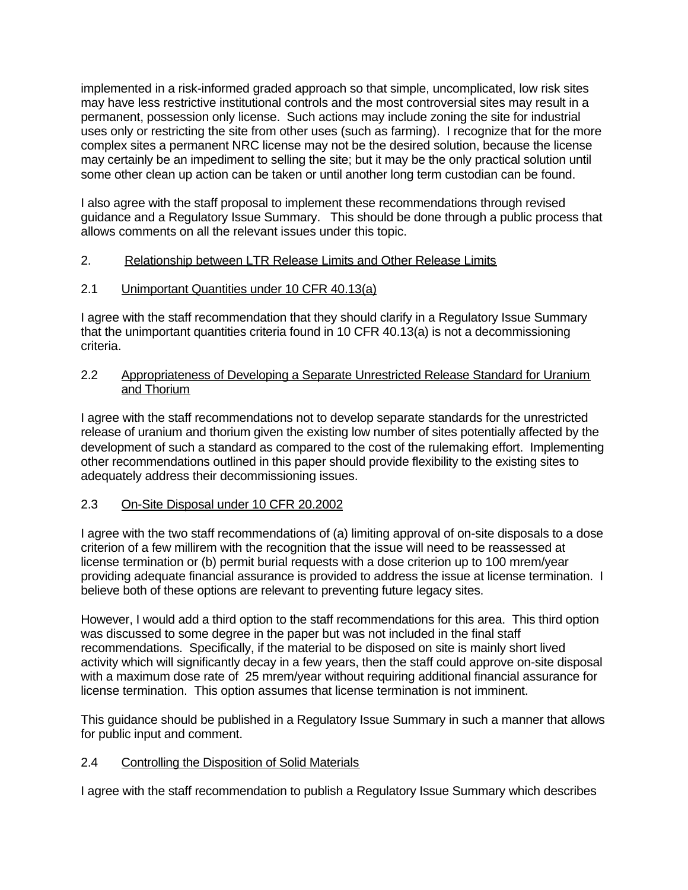implemented in a risk-informed graded approach so that simple, uncomplicated, low risk sites may have less restrictive institutional controls and the most controversial sites may result in a permanent, possession only license. Such actions may include zoning the site for industrial uses only or restricting the site from other uses (such as farming). I recognize that for the more complex sites a permanent NRC license may not be the desired solution, because the license may certainly be an impediment to selling the site; but it may be the only practical solution until some other clean up action can be taken or until another long term custodian can be found.

I also agree with the staff proposal to implement these recommendations through revised guidance and a Regulatory Issue Summary. This should be done through a public process that allows comments on all the relevant issues under this topic.

### 2. Relationship between LTR Release Limits and Other Release Limits

### 2.1 Unimportant Quantities under 10 CFR 40.13(a)

I agree with the staff recommendation that they should clarify in a Regulatory Issue Summary that the unimportant quantities criteria found in 10 CFR 40.13(a) is not a decommissioning criteria.

#### 2.2 Appropriateness of Developing a Separate Unrestricted Release Standard for Uranium and Thorium

I agree with the staff recommendations not to develop separate standards for the unrestricted release of uranium and thorium given the existing low number of sites potentially affected by the development of such a standard as compared to the cost of the rulemaking effort. Implementing other recommendations outlined in this paper should provide flexibility to the existing sites to adequately address their decommissioning issues.

## 2.3 On-Site Disposal under 10 CFR 20.2002

I agree with the two staff recommendations of (a) limiting approval of on-site disposals to a dose criterion of a few millirem with the recognition that the issue will need to be reassessed at license termination or (b) permit burial requests with a dose criterion up to 100 mrem/year providing adequate financial assurance is provided to address the issue at license termination. I believe both of these options are relevant to preventing future legacy sites.

However, I would add a third option to the staff recommendations for this area. This third option was discussed to some degree in the paper but was not included in the final staff recommendations. Specifically, if the material to be disposed on site is mainly short lived activity which will significantly decay in a few years, then the staff could approve on-site disposal with a maximum dose rate of 25 mrem/year without requiring additional financial assurance for license termination. This option assumes that license termination is not imminent.

This guidance should be published in a Regulatory Issue Summary in such a manner that allows for public input and comment.

#### 2.4 Controlling the Disposition of Solid Materials

I agree with the staff recommendation to publish a Regulatory Issue Summary which describes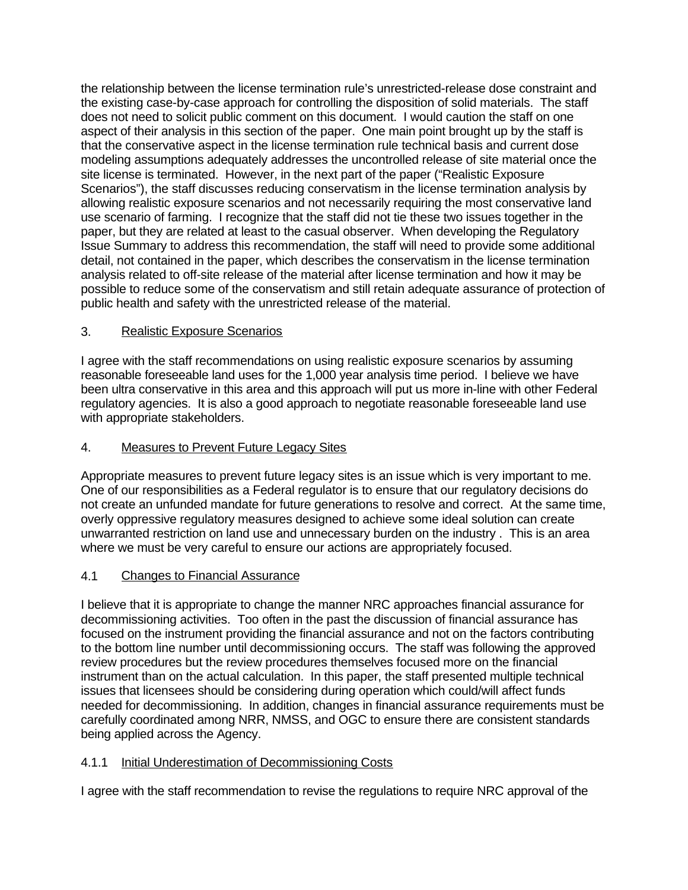the relationship between the license termination rule's unrestricted-release dose constraint and the existing case-by-case approach for controlling the disposition of solid materials. The staff does not need to solicit public comment on this document. I would caution the staff on one aspect of their analysis in this section of the paper. One main point brought up by the staff is that the conservative aspect in the license termination rule technical basis and current dose modeling assumptions adequately addresses the uncontrolled release of site material once the site license is terminated. However, in the next part of the paper ("Realistic Exposure Scenarios"), the staff discusses reducing conservatism in the license termination analysis by allowing realistic exposure scenarios and not necessarily requiring the most conservative land use scenario of farming. I recognize that the staff did not tie these two issues together in the paper, but they are related at least to the casual observer. When developing the Regulatory Issue Summary to address this recommendation, the staff will need to provide some additional detail, not contained in the paper, which describes the conservatism in the license termination analysis related to off-site release of the material after license termination and how it may be possible to reduce some of the conservatism and still retain adequate assurance of protection of public health and safety with the unrestricted release of the material.

## 3. Realistic Exposure Scenarios

I agree with the staff recommendations on using realistic exposure scenarios by assuming reasonable foreseeable land uses for the 1,000 year analysis time period. I believe we have been ultra conservative in this area and this approach will put us more in-line with other Federal regulatory agencies. It is also a good approach to negotiate reasonable foreseeable land use with appropriate stakeholders.

## 4. Measures to Prevent Future Legacy Sites

Appropriate measures to prevent future legacy sites is an issue which is very important to me. One of our responsibilities as a Federal regulator is to ensure that our regulatory decisions do not create an unfunded mandate for future generations to resolve and correct. At the same time, overly oppressive regulatory measures designed to achieve some ideal solution can create unwarranted restriction on land use and unnecessary burden on the industry . This is an area where we must be very careful to ensure our actions are appropriately focused.

## 4.1 Changes to Financial Assurance

I believe that it is appropriate to change the manner NRC approaches financial assurance for decommissioning activities. Too often in the past the discussion of financial assurance has focused on the instrument providing the financial assurance and not on the factors contributing to the bottom line number until decommissioning occurs. The staff was following the approved review procedures but the review procedures themselves focused more on the financial instrument than on the actual calculation. In this paper, the staff presented multiple technical issues that licensees should be considering during operation which could/will affect funds needed for decommissioning. In addition, changes in financial assurance requirements must be carefully coordinated among NRR, NMSS, and OGC to ensure there are consistent standards being applied across the Agency.

## 4.1.1 Initial Underestimation of Decommissioning Costs

I agree with the staff recommendation to revise the regulations to require NRC approval of the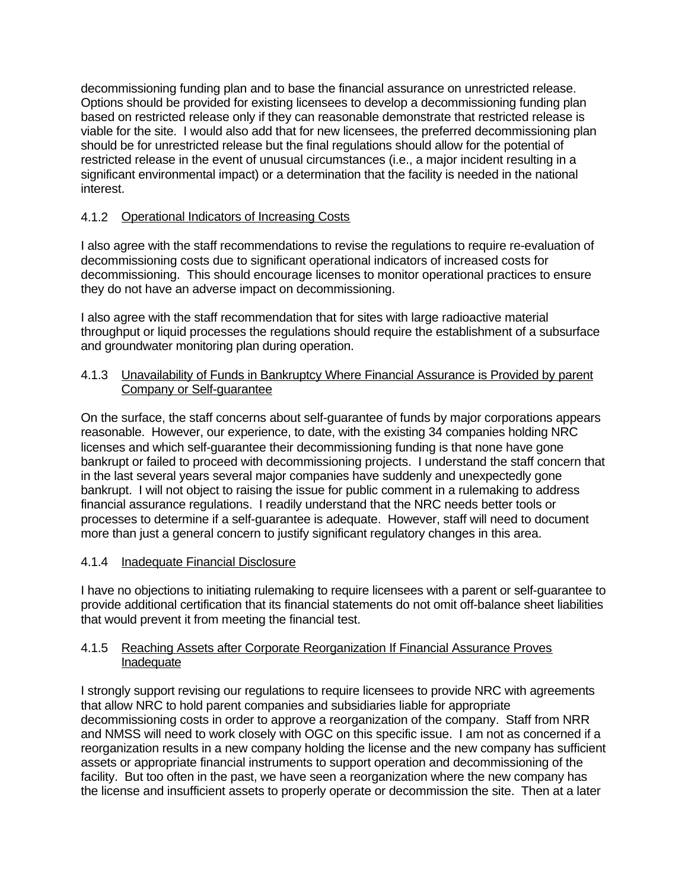decommissioning funding plan and to base the financial assurance on unrestricted release. Options should be provided for existing licensees to develop a decommissioning funding plan based on restricted release only if they can reasonable demonstrate that restricted release is viable for the site. I would also add that for new licensees, the preferred decommissioning plan should be for unrestricted release but the final regulations should allow for the potential of restricted release in the event of unusual circumstances (i.e., a major incident resulting in a significant environmental impact) or a determination that the facility is needed in the national interest.

## 4.1.2 Operational Indicators of Increasing Costs

I also agree with the staff recommendations to revise the regulations to require re-evaluation of decommissioning costs due to significant operational indicators of increased costs for decommissioning. This should encourage licenses to monitor operational practices to ensure they do not have an adverse impact on decommissioning.

I also agree with the staff recommendation that for sites with large radioactive material throughput or liquid processes the regulations should require the establishment of a subsurface and groundwater monitoring plan during operation.

### 4.1.3 Unavailability of Funds in Bankruptcy Where Financial Assurance is Provided by parent Company or Self-guarantee

On the surface, the staff concerns about self-guarantee of funds by major corporations appears reasonable. However, our experience, to date, with the existing 34 companies holding NRC licenses and which self-guarantee their decommissioning funding is that none have gone bankrupt or failed to proceed with decommissioning projects. I understand the staff concern that in the last several years several major companies have suddenly and unexpectedly gone bankrupt. I will not object to raising the issue for public comment in a rulemaking to address financial assurance regulations. I readily understand that the NRC needs better tools or processes to determine if a self-guarantee is adequate. However, staff will need to document more than just a general concern to justify significant regulatory changes in this area.

## 4.1.4 Inadequate Financial Disclosure

I have no objections to initiating rulemaking to require licensees with a parent or self-guarantee to provide additional certification that its financial statements do not omit off-balance sheet liabilities that would prevent it from meeting the financial test.

#### 4.1.5 Reaching Assets after Corporate Reorganization If Financial Assurance Proves Inadequate

I strongly support revising our regulations to require licensees to provide NRC with agreements that allow NRC to hold parent companies and subsidiaries liable for appropriate decommissioning costs in order to approve a reorganization of the company. Staff from NRR and NMSS will need to work closely with OGC on this specific issue. I am not as concerned if a reorganization results in a new company holding the license and the new company has sufficient assets or appropriate financial instruments to support operation and decommissioning of the facility. But too often in the past, we have seen a reorganization where the new company has the license and insufficient assets to properly operate or decommission the site. Then at a later